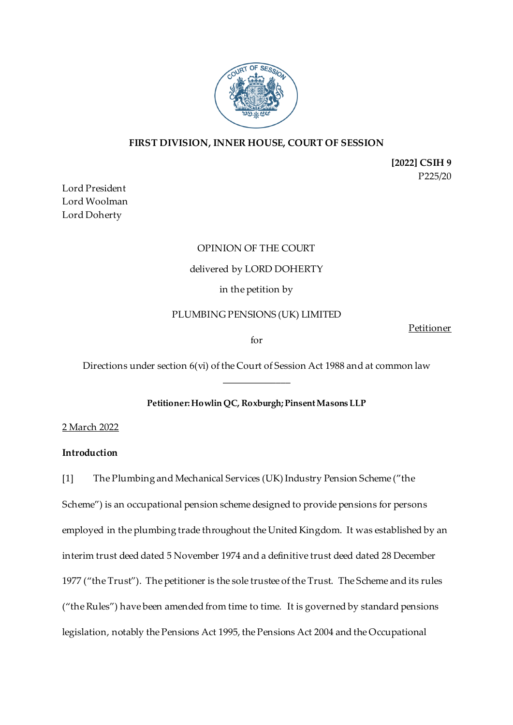

# **FIRST DIVISION, INNER HOUSE, COURT OF SESSION**

**[2022] CSIH 9** P225/20

Lord President Lord Woolman Lord Doherty

# OPINION OF THE COURT delivered by LORD DOHERTY in the petition by

# PLUMBING PENSIONS (UK) LIMITED

Petitioner

for

Directions under section 6(vi) of the Court of Session Act 1988 and at common law \_\_\_\_\_\_\_\_\_\_\_\_\_\_

# **Petitioner: Howlin QC, Roxburgh; Pinsent Masons LLP**

2 March 2022

# **Introduction**

[1] The Plumbing and Mechanical Services (UK) Industry Pension Scheme ("the

Scheme") is an occupational pension scheme designed to provide pensions for persons employed in the plumbing trade throughout the United Kingdom. It was established by an interim trust deed dated 5 November 1974 and a definitive trust deed dated 28 December 1977 ("the Trust"). The petitioner is the sole trustee of the Trust. The Scheme and its rules ("the Rules") have been amended from time to time. It is governed by standard pensions legislation, notably the Pensions Act 1995, the Pensions Act 2004 and the Occupational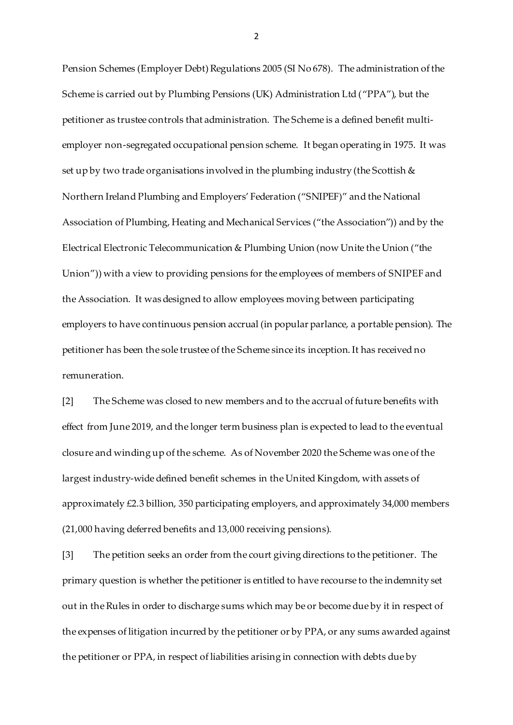Pension Schemes (Employer Debt) Regulations 2005 (SI No 678). The administration of the Scheme is carried out by Plumbing Pensions (UK) Administration Ltd ("PPA"), but the petitioner as trustee controls that administration. The Scheme is a defined benefit multiemployer non-segregated occupational pension scheme. It began operating in 1975. It was set up by two trade organisations involved in the plumbing industry (the Scottish  $\&$ Northern Ireland Plumbing and Employers' Federation ("SNIPEF)" and the National Association of Plumbing, Heating and Mechanical Services ("the Association")) and by the Electrical Electronic Telecommunication & Plumbing Union (now Unite the Union ("the Union")) with a view to providing pensions for the employees of members of SNIPEF and the Association. It was designed to allow employees moving between participating employers to have continuous pension accrual (in popular parlance, a portable pension). The petitioner has been the sole trustee of the Scheme since its inception. It has received no remuneration.

[2] The Scheme was closed to new members and to the accrual of future benefits with effect from June 2019, and the longer term business plan is expected to lead to the eventual closure and winding up of the scheme. As of November 2020 the Scheme was one of the largest industry-wide defined benefit schemes in the United Kingdom, with assets of approximately £2.3 billion, 350 participating employers, and approximately 34,000 members (21,000 having deferred benefits and 13,000 receiving pensions).

[3] The petition seeks an order from the court giving directions to the petitioner. The primary question is whether the petitioner is entitled to have recourse to the indemnity set out in the Rules in order to discharge sums which may be or become due by it in respect of the expenses of litigation incurred by the petitioner or by PPA, or any sums awarded against the petitioner or PPA, in respect of liabilities arising in connection with debts due by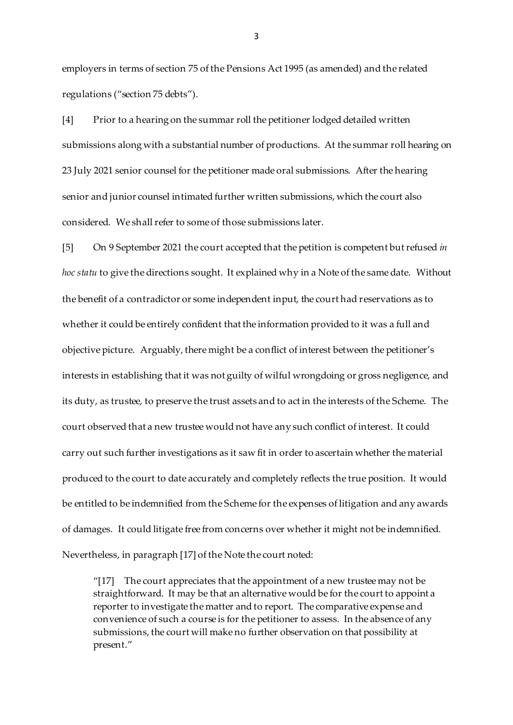employers in terms of section 75 of the Pensions Act 1995 (as amended) and the related regulations ("section 75 debts").

[4] Prior to a hearing on the summar roll the petitioner lodged detailed written submissions along with a substantial number of productions. At the summar roll hearing on 23 July 2021 senior counsel for the petitioner made oral submissions. After the hearing senior and junior counsel intimated further written submissions, which the court also considered. We shall refer to some of those submissions later.

[5] On 9 September 2021 the court accepted that the petition is competent but refused *in hoc statu* to give the directions sought. It explained why in a Note of the same date. Without the benefit of a contradictor or some independent input, the court had reservations as to whether it could be entirely confident that the information provided to it was a full and objective picture. Arguably, there might be a conflict of interest between the petitioner's interests in establishing that it was not guilty of wilful wrongdoing or gross negligence, and its duty, as trustee, to preserve the trust assets and to act in the interests of the Scheme. The court observed that a new trustee would not have any such conflict of interest. It could carry out such further investigations as it saw fit in order to ascertain whether the material produced to the court to date accurately and completely reflects the true position. It would be entitled to be indemnified from the Scheme for the expenses of litigation and any awards of damages. It could litigate free from concerns over whether it might not be indemnified. Nevertheless, in paragraph [17] of the Note the court noted:

" $[17]$  The court appreciates that the appointment of a new trustee may not be straightforward. It may be that an alternative would be for the court to appoint a reporter to investigate the matter and to report. The comparative expense and convenience of such a course is for the petitioner to assess. In the absence of any submissions, the court will make no further observation on that possibility at present."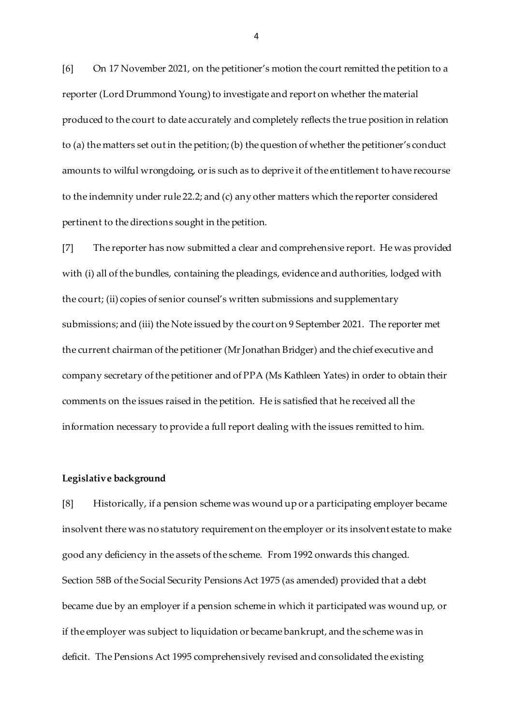[6] On 17 November 2021, on the petitioner's motion the court remitted the petition to a reporter (Lord Drummond Young) to investigate and report on whether the material produced to the court to date accurately and completely reflects the true position in relation to (a) the matters set out in the petition; (b) the question of whether the petitioner's conduct amounts to wilful wrongdoing, or is such as to deprive it of the entitlement to have recourse to the indemnity under rule 22.2; and (c) any other matters which the reporter considered pertinent to the directions sought in the petition.

[7] The reporter has now submitted a clear and comprehensive report. He was provided with (i) all of the bundles, containing the pleadings, evidence and authorities, lodged with the court; (ii) copies of senior counsel's written submissions and supplementary submissions; and (iii) the Note issued by the court on 9 September 2021. The reporter met the current chairman of the petitioner (Mr Jonathan Bridger) and the chief executive and company secretary of the petitioner and of PPA (Ms Kathleen Yates) in order to obtain their comments on the issues raised in the petition. He is satisfied that he received all the information necessary to provide a full report dealing with the issues remitted to him.

#### **Legislative background**

[8] Historically, if a pension scheme was wound up or a participating employer became insolvent there was no statutory requirement on the employer or its insolvent estate to make good any deficiency in the assets of the scheme. From 1992 onwards this changed. Section 58B of the Social Security Pensions Act 1975 (as amended) provided that a debt became due by an employer if a pension scheme in which it participated was wound up, or if the employer was subject to liquidation or became bankrupt, and the scheme was in deficit. The Pensions Act 1995 comprehensively revised and consolidated the existing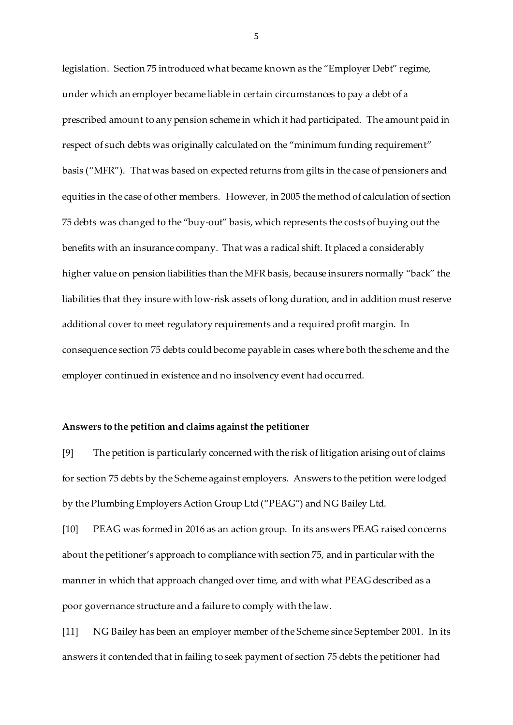legislation. Section 75 introduced what became known as the "Employer Debt" regime, under which an employer became liable in certain circumstances to pay a debt of a prescribed amount to any pension scheme in which it had participated. The amount paid in respect of such debts was originally calculated on the "minimum funding requirement" basis ("MFR"). That was based on expected returns from gilts in the case of pensioners and equities in the case of other members. However, in 2005 the method of calculation of section 75 debts was changed to the "buy-out" basis, which represents the costs of buying out the benefits with an insurance company. That was a radical shift. It placed a considerably higher value on pension liabilities than the MFR basis, because insurers normally "back" the liabilities that they insure with low-risk assets of long duration, and in addition must reserve additional cover to meet regulatory requirements and a required profit margin. In consequence section 75 debts could become payable in cases where both the scheme and the employer continued in existence and no insolvency event had occurred.

#### **Answers to the petition and claims against the petitioner**

[9] The petition is particularly concerned with the risk of litigation arising out of claims for section 75 debts by the Scheme against employers. Answers to the petition were lodged by the Plumbing Employers Action Group Ltd ("PEAG") and NG Bailey Ltd.

[10] PEAG was formed in 2016 as an action group. In its answers PEAG raised concerns about the petitioner's approach to compliance with section 75, and in particular with the manner in which that approach changed over time, and with what PEAG described as a poor governance structure and a failure to comply with the law.

[11] NG Bailey has been an employer member of the Scheme since September 2001. In its answers it contended that in failing to seek payment of section 75 debts the petitioner had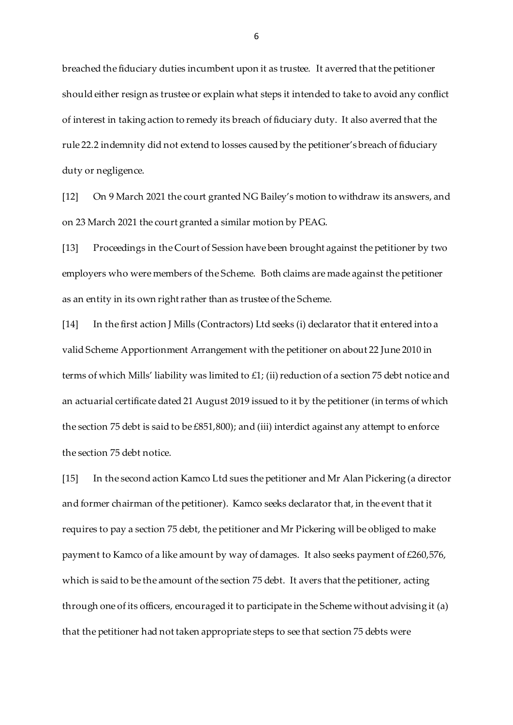breached the fiduciary duties incumbent upon it as trustee. It averred that the petitioner should either resign as trustee or explain what steps it intended to take to avoid any conflict of interest in taking action to remedy its breach of fiduciary duty. It also averred that the rule 22.2 indemnity did not extend to losses caused by the petitioner's breach of fiduciary duty or negligence.

[12] On 9 March 2021 the court granted NG Bailey's motion to withdraw its answers, and on 23 March 2021 the court granted a similar motion by PEAG.

[13] Proceedings in the Court of Session have been brought against the petitioner by two employers who were members of the Scheme. Both claims are made against the petitioner as an entity in its own right rather than as trustee of the Scheme.

[14] In the first action J Mills (Contractors) Ltd seeks (i) declarator that it entered into a valid Scheme Apportionment Arrangement with the petitioner on about 22 June 2010 in terms of which Mills' liability was limited to £1; (ii) reduction of a section 75 debt notice and an actuarial certificate dated 21 August 2019 issued to it by the petitioner (in terms of which the section 75 debt is said to be £851,800); and (iii) interdict against any attempt to enforce the section 75 debt notice.

[15] In the second action Kamco Ltd sues the petitioner and Mr Alan Pickering (a director and former chairman of the petitioner). Kamco seeks declarator that, in the event that it requires to pay a section 75 debt, the petitioner and Mr Pickering will be obliged to make payment to Kamco of a like amount by way of damages. It also seeks payment of £260,576, which is said to be the amount of the section 75 debt. It avers that the petitioner, acting through one of its officers, encouraged it to participate in the Scheme without advising it (a) that the petitioner had not taken appropriate steps to see that section 75 debts were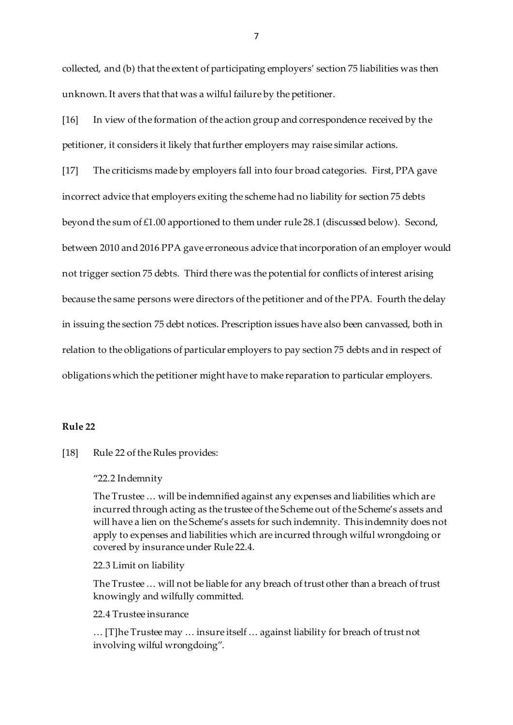collected, and (b) that the extent of participating employers' section 75 liabilities was then unknown. It avers that that was a wilful failure by the petitioner.

[16] In view of the formation of the action group and correspondence received by the petitioner, it considers it likely that further employers may raise similar actions.

[17] The criticisms made by employers fall into four broad categories. First, PPA gave incorrect advice that employers exiting the scheme had no liability for section 75 debts beyond the sum of £1.00 apportioned to them under rule 28.1 (discussed below). Second, between 2010 and 2016 PPA gave erroneous advice that incorporation of an employer would not trigger section 75 debts. Third there was the potential for conflicts of interest arising because the same persons were directors of the petitioner and of the PPA. Fourth the delay in issuing the section 75 debt notices. Prescription issues have also been canvassed, both in relation to the obligations of particular employers to pay section 75 debts and in respect of obligations which the petitioner might have to make reparation to particular employers.

# **Rule 22**

[18] Rule 22 of the Rules provides:

#### "22.2 Indemnity

The Trustee … will be indemnified against any expenses and liabilities which are incurred through acting as the trustee of the Scheme out of the Scheme's assets and will have a lien on the Scheme's assets for such indemnity. This indemnity does not apply to expenses and liabilities which are incurred through wilful wrongdoing or covered by insurance under Rule 22.4.

# 22.3 Limit on liability

The Trustee … will not be liable for any breach of trust other than a breach of trust knowingly and wilfully committed.

#### 22.4 Trustee insurance

… [T]he Trustee may … insure itself … against liability for breach of trust not involving wilful wrongdoing".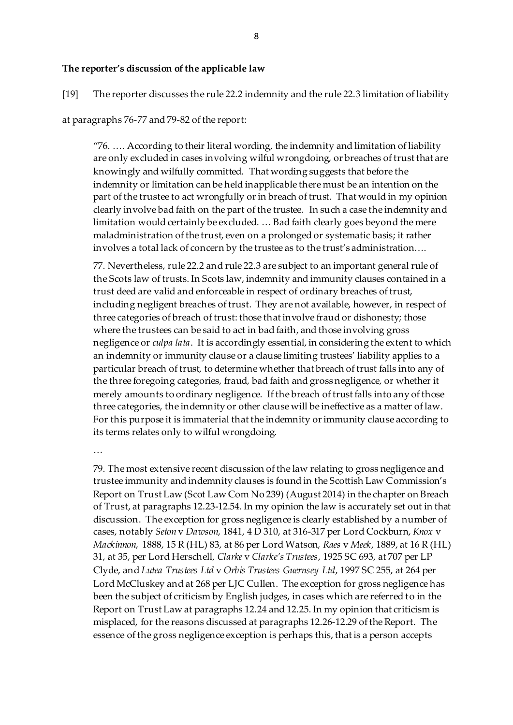## **The reporter's discussion of the applicable law**

[19] The reporter discusses the rule 22.2 indemnity and the rule 22.3 limitation of liability

### at paragraphs 76-77 and 79-82 of the report:

"76. …. According to their literal wording, the indemnity and limitation of liability are only excluded in cases involving wilful wrongdoing, or breaches of trust that are knowingly and wilfully committed. That wording suggests that before the indemnity or limitation can be held inapplicable there must be an intention on the part of the trustee to act wrongfully or in breach of trust. That would in my opinion clearly involve bad faith on the part of the trustee. In such a case the indemnity and limitation would certainly be excluded. … Bad faith clearly goes beyond the mere maladministration of the trust, even on a prolonged or systematic basis; it rather involves a total lack of concern by the trustee as to the trust's administration....

77. Nevertheless, rule 22.2 and rule 22.3 are subject to an important general rule of the Scots law of trusts. In Scots law, indemnity and immunity clauses contained in a trust deed are valid and enforceable in respect of ordinary breaches of trust, including negligent breaches of trust. They are not available, however, in respect of three categories of breach of trust: those that involve fraud or dishonesty; those where the trustees can be said to act in bad faith, and those involving gross negligence or *culpa lata*. It is accordingly essential, in considering the extent to which an indemnity or immunity clause or a clause limiting trustees' liability applies to a particular breach of trust, to determine whether that breach of trust falls into any of the three foregoing categories, fraud, bad faith and gross negligence, or whether it merely amounts to ordinary negligence. If the breach of trust falls into any of those three categories, the indemnity or other clause will be ineffective as a matter of law. For this purpose it is immaterial that the indemnity or immunity clause according to its terms relates only to wilful wrongdoing.

…

79. The most extensive recent discussion of the law relating to gross negligence and trustee immunity and indemnity clauses is found in the Scottish Law Commission's Report on Trust Law (Scot Law Com No 239) (August 2014) in the chapter on Breach of Trust, at paragraphs 12.23-12.54. In my opinion the law is accurately set out in that discussion. The exception for gross negligence is clearly established by a number of cases, notably *Seton* v *Dawson*, 1841, 4 D 310, at 316-317 per Lord Cockburn, *Knox* v *Mackinnon*, 1888, 15 R (HL) 83, at 86 per Lord Watson, *Raes* v *Meek*, 1889, at 16 R (HL) 31, at 35, per Lord Herschell, *Clarke* v *Clarke's Trustees*, 1925 SC 693, at 707 per LP Clyde, and *Lutea Trustees Ltd* v *Orbis Trustees Guernsey Ltd*, 1997 SC 255, at 264 per Lord McCluskey and at 268 per LJC Cullen. The exception for gross negligence has been the subject of criticism by English judges, in cases which are referred to in the Report on Trust Law at paragraphs 12.24 and 12.25. In my opinion that criticism is misplaced, for the reasons discussed at paragraphs 12.26-12.29 of the Report. The essence of the gross negligence exception is perhaps this, that is a person accepts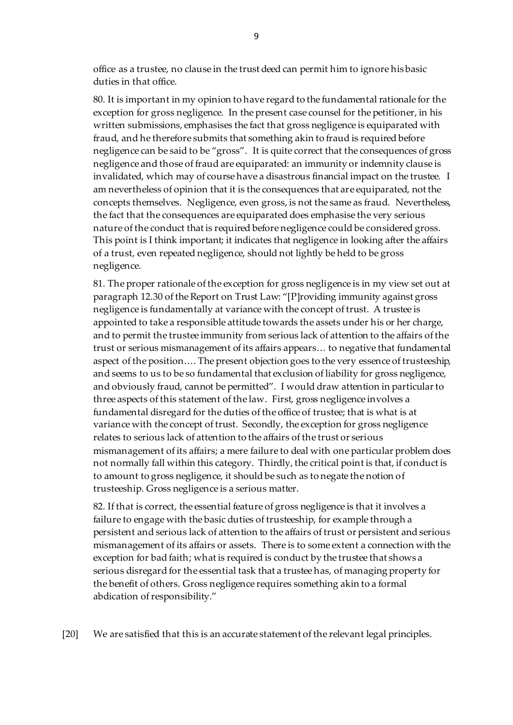office as a trustee, no clause in the trust deed can permit him to ignore his basic duties in that office.

80. It is important in my opinion to have regard to the fundamental rationale for the exception for gross negligence. In the present case counsel for the petitioner, in his written submissions, emphasises the fact that gross negligence is equiparated with fraud, and he therefore submits that something akin to fraud is required before negligence can be said to be "gross". It is quite correct that the consequences of gross negligence and those of fraud are equiparated: an immunity or indemnity clause is invalidated, which may of course have a disastrous financial impact on the trustee. I am nevertheless of opinion that it is the consequences that are equiparated, not the concepts themselves. Negligence, even gross, is not the same as fraud. Nevertheless, the fact that the consequences are equiparated does emphasise the very serious nature of the conduct that is required before negligence could be considered gross. This point is I think important; it indicates that negligence in looking after the affairs of a trust, even repeated negligence, should not lightly be held to be gross negligence.

81. The proper rationale of the exception for gross negligence is in my view set out at paragraph 12.30 of the Report on Trust Law: "[P]roviding immunity against gross negligence is fundamentally at variance with the concept of trust. A trustee is appointed to take a responsible attitude towards the assets under his or her charge, and to permit the trustee immunity from serious lack of attention to the affairs of the trust or serious mismanagement of its affairs appears… to negative that fundamental aspect of the position.… The present objection goes to the very essence of trusteeship, and seems to us to be so fundamental that exclusion of liability for gross negligence, and obviously fraud, cannot be permitted". I would draw attention in particular to three aspects of this statement of the law. First, gross negligence involves a fundamental disregard for the duties of the office of trustee; that is what is at variance with the concept of trust. Secondly, the exception for gross negligence relates to serious lack of attention to the affairs of the trust or serious mismanagement of its affairs; a mere failure to deal with one particular problem does not normally fall within this category. Thirdly, the critical point is that, if conduct is to amount to gross negligence, it should be such as to negate the notion of trusteeship. Gross negligence is a serious matter.

82. If that is correct, the essential feature of gross negligence is that it involves a failure to engage with the basic duties of trusteeship, for example through a persistent and serious lack of attention to the affairs of trust or persistent and serious mismanagement of its affairs or assets. There is to some extent a connection with the exception for bad faith; what is required is conduct by the trustee that shows a serious disregard for the essential task that a trustee has, of managing property for the benefit of others. Gross negligence requires something akin to a formal abdication of responsibility."

[20] We are satisfied that this is an accurate statement of the relevant legal principles.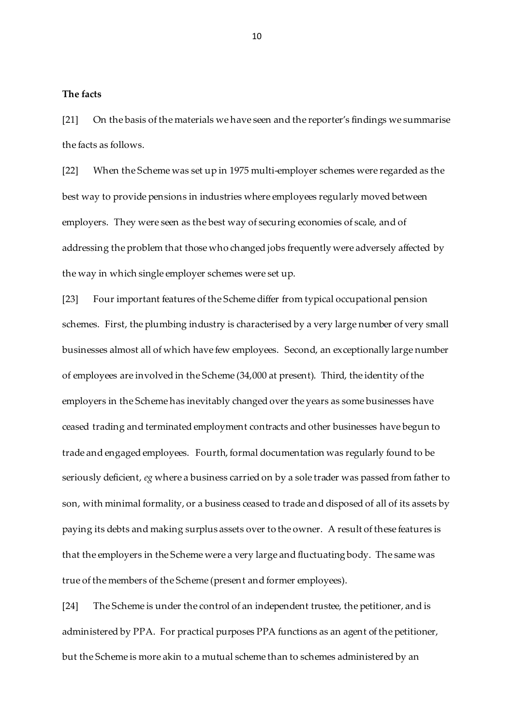# **The facts**

[21] On the basis of the materials we have seen and the reporter's findings we summarise the facts as follows.

[22] When the Scheme was set up in 1975 multi-employer schemes were regarded as the best way to provide pensions in industries where employees regularly moved between employers. They were seen as the best way of securing economies of scale, and of addressing the problem that those who changed jobs frequently were adversely affected by the way in which single employer schemes were set up.

[23] Four important features of the Scheme differ from typical occupational pension schemes. First, the plumbing industry is characterised by a very large number of very small businesses almost all of which have few employees. Second, an exceptionally large number of employees are involved in the Scheme (34,000 at present). Third, the identity of the employers in the Scheme has inevitably changed over the years as some businesses have ceased trading and terminated employment contracts and other businesses have begun to trade and engaged employees. Fourth, formal documentation was regularly found to be seriously deficient, *eg* where a business carried on by a sole trader was passed from father to son, with minimal formality, or a business ceased to trade and disposed of all of its assets by paying its debts and making surplus assets over to the owner. A result of these features is that the employers in the Scheme were a very large and fluctuating body. The same was true of the members of the Scheme (present and former employees).

[24] The Scheme is under the control of an independent trustee, the petitioner, and is administered by PPA. For practical purposes PPA functions as an agent of the petitioner, but the Scheme is more akin to a mutual scheme than to schemes administered by an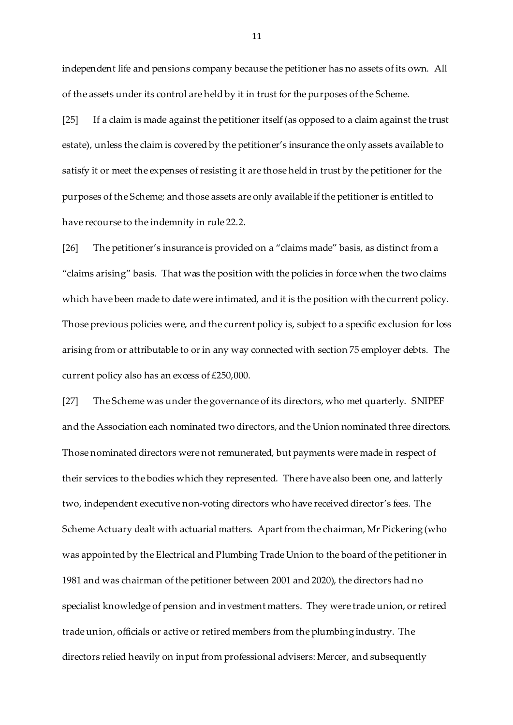independent life and pensions company because the petitioner has no assets of its own. All of the assets under its control are held by it in trust for the purposes of the Scheme.

[25] If a claim is made against the petitioner itself (as opposed to a claim against the trust estate), unless the claim is covered by the petitioner's insurance the only assets available to satisfy it or meet the expenses of resisting it are those held in trust by the petitioner for the purposes of the Scheme; and those assets are only available if the petitioner is entitled to have recourse to the indemnity in rule 22.2.

[26] The petitioner's insurance is provided on a "claims made" basis, as distinct from a "claims arising" basis. That was the position with the policies in force when the two claims which have been made to date were intimated, and it is the position with the current policy. Those previous policies were, and the current policy is, subject to a specific exclusion for loss arising from or attributable to or in any way connected with section 75 employer debts. The current policy also has an excess of £250,000.

[27] The Scheme was under the governance of its directors, who met quarterly. SNIPEF and the Association each nominated two directors, and the Union nominated three directors. Those nominated directors were not remunerated, but payments were made in respect of their services to the bodies which they represented. There have also been one, and latterly two, independent executive non-voting directors who have received director's fees. The Scheme Actuary dealt with actuarial matters. Apart from the chairman, Mr Pickering (who was appointed by the Electrical and Plumbing Trade Union to the board of the petitioner in 1981 and was chairman of the petitioner between 2001 and 2020), the directors had no specialist knowledge of pension and investment matters. They were trade union, or retired trade union, officials or active or retired members from the plumbing industry. The directors relied heavily on input from professional advisers: Mercer, and subsequently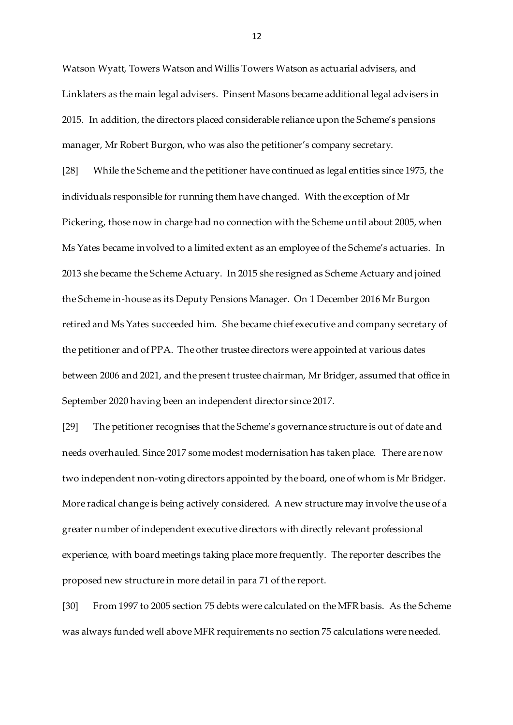Watson Wyatt, Towers Watson and Willis Towers Watson as actuarial advisers, and Linklaters as the main legal advisers. Pinsent Masons became additional legal advisers in 2015. In addition, the directors placed considerable reliance upon the Scheme's pensions manager, Mr Robert Burgon, who was also the petitioner's company secretary.

[28] While the Scheme and the petitioner have continued as legal entities since 1975, the individuals responsible for running them have changed. With the exception of Mr Pickering, those now in charge had no connection with the Scheme until about 2005, when Ms Yates became involved to a limited extent as an employee of the Scheme's actuaries. In 2013 she became the Scheme Actuary. In 2015 she resigned as Scheme Actuary and joined the Scheme in-house as its Deputy Pensions Manager. On 1 December 2016 Mr Burgon retired and Ms Yates succeeded him. She became chief executive and company secretary of the petitioner and of PPA. The other trustee directors were appointed at various dates between 2006 and 2021, and the present trustee chairman, Mr Bridger, assumed that office in September 2020 having been an independent director since 2017.

[29] The petitioner recognises that the Scheme's governance structure is out of date and needs overhauled. Since 2017 some modest modernisation has taken place. There are now two independent non-voting directors appointed by the board, one of whom is Mr Bridger. More radical change is being actively considered. A new structure may involve the use of a greater number of independent executive directors with directly relevant professional experience, with board meetings taking place more frequently. The reporter describes the proposed new structure in more detail in para 71 of the report.

[30] From 1997 to 2005 section 75 debts were calculated on the MFR basis. As the Scheme was always funded well above MFR requirements no section 75 calculations were needed.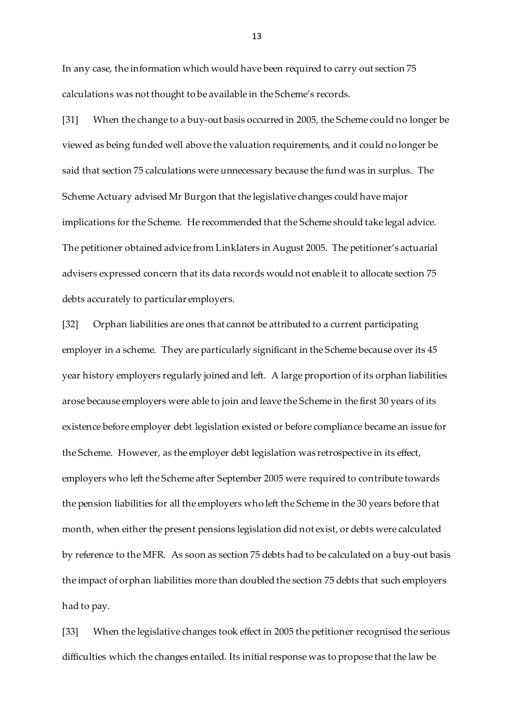In any case, the information which would have been required to carry out section 75 calculations was not thought to be available in the Scheme's records.

[31] When the change to a buy-out basis occurred in 2005, the Scheme could no longer be viewed as being funded well above the valuation requirements, and it could no longer be said that section 75 calculations were unnecessary because the fund was in surplus. The Scheme Actuary advised Mr Burgon that the legislative changes could have major implications for the Scheme. He recommended that the Scheme should take legal advice. The petitioner obtained advice from Linklaters in August 2005. The petitioner's actuarial advisers expressed concern that its data records would not enable it to allocate section 75 debts accurately to particular employers.

[32] Orphan liabilities are ones that cannot be attributed to a current participating employer in a scheme. They are particularly significant in the Scheme because over its 45 year history employers regularly joined and left. A large proportion of its orphan liabilities arose because employers were able to join and leave the Scheme in the first 30 years of its existence before employer debt legislation existed or before compliance became an issue for the Scheme. However, as the employer debt legislation was retrospective in its effect, employers who left the Scheme after September 2005 were required to contribute towards the pension liabilities for all the employers who left the Scheme in the 30 years before that month, when either the present pensions legislation did not exist, or debts were calculated by reference to the MFR. As soon as section 75 debts had to be calculated on a buy-out basis the impact of orphan liabilities more than doubled the section 75 debts that such employers had to pay.

[33] When the legislative changes took effect in 2005 the petitioner recognised the serious difficulties which the changes entailed. Its initial response was to propose that the law be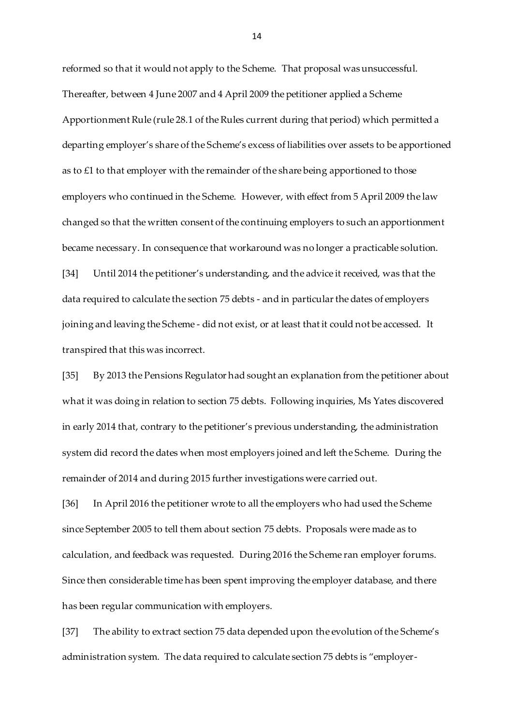reformed so that it would not apply to the Scheme. That proposal was unsuccessful. Thereafter, between 4 June 2007 and 4 April 2009 the petitioner applied a Scheme Apportionment Rule (rule 28.1 of the Rules current during that period) which permitted a departing employer's share of the Scheme's excess of liabilities over assets to be apportioned as to £1 to that employer with the remainder of the share being apportioned to those employers who continued in the Scheme. However, with effect from 5 April 2009 the law changed so that the written consent of the continuing employers to such an apportionment became necessary. In consequence that workaround was no longer a practicable solution. [34] Until 2014 the petitioner's understanding, and the advice it received, was that the data required to calculate the section 75 debts - and in particular the dates of employers

joining and leaving the Scheme - did not exist, or at least that it could not be accessed. It transpired that this was incorrect.

[35] By 2013 the Pensions Regulator had sought an explanation from the petitioner about what it was doing in relation to section 75 debts. Following inquiries, Ms Yates discovered in early 2014 that, contrary to the petitioner's previous understanding, the administration system did record the dates when most employers joined and left the Scheme. During the remainder of 2014 and during 2015 further investigations were carried out.

[36] In April 2016 the petitioner wrote to all the employers who had used the Scheme since September 2005 to tell them about section 75 debts. Proposals were made as to calculation, and feedback was requested. During 2016 the Scheme ran employer forums. Since then considerable time has been spent improving the employer database, and there has been regular communication with employers.

[37] The ability to extract section 75 data depended upon the evolution of the Scheme's administration system. The data required to calculate section 75 debts is "employer-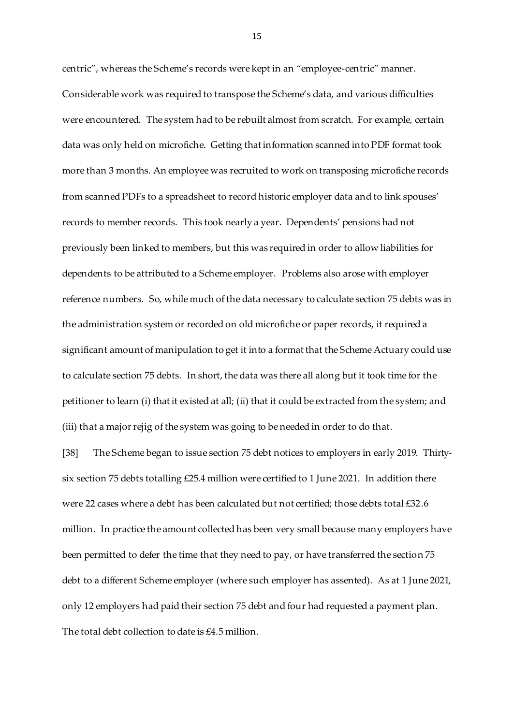centric", whereas the Scheme's records were kept in an "employee-centric" manner. Considerable work was required to transpose the Scheme's data, and various difficulties were encountered. The system had to be rebuilt almost from scratch. For example, certain data was only held on microfiche. Getting that information scanned into PDF format took more than 3 months. An employee was recruited to work on transposing microfiche records from scanned PDFs to a spreadsheet to record historic employer data and to link spouses' records to member records. This took nearly a year. Dependents' pensions had not previously been linked to members, but this was required in order to allow liabilities for dependents to be attributed to a Scheme employer. Problems also arose with employer reference numbers. So, while much of the data necessary to calculate section 75 debts was in the administration system or recorded on old microfiche or paper records, it required a significant amount of manipulation to get it into a format that the Scheme Actuary could use to calculate section 75 debts. In short, the data was there all along but it took time for the petitioner to learn (i) that it existed at all; (ii) that it could be extracted from the system; and (iii) that a major rejig of the system was going to be needed in order to do that.

[38] The Scheme began to issue section 75 debt notices to employers in early 2019. Thirtysix section 75 debts totalling £25.4 million were certified to 1 June 2021. In addition there were 22 cases where a debt has been calculated but not certified; those debts total £32.6 million. In practice the amount collected has been very small because many employers have been permitted to defer the time that they need to pay, or have transferred the section 75 debt to a different Scheme employer (where such employer has assented). As at 1 June 2021, only 12 employers had paid their section 75 debt and four had requested a payment plan. The total debt collection to date is £4.5 million.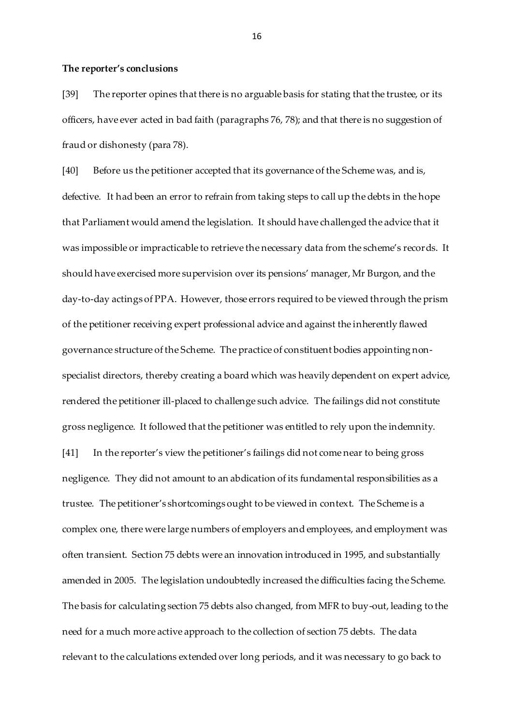#### **The reporter's conclusions**

[39] The reporter opines that there is no arguable basis for stating that the trustee, or its officers, have ever acted in bad faith (paragraphs 76, 78); and that there is no suggestion of fraud or dishonesty (para 78).

[40] Before us the petitioner accepted that its governance of the Scheme was, and is, defective. It had been an error to refrain from taking steps to call up the debts in the hope that Parliament would amend the legislation. It should have challenged the advice that it was impossible or impracticable to retrieve the necessary data from the scheme's records. It should have exercised more supervision over its pensions' manager, Mr Burgon, and the day-to-day actings of PPA. However, those errors required to be viewed through the prism of the petitioner receiving expert professional advice and against the inherently flawed governance structure of the Scheme. The practice of constituent bodies appointing nonspecialist directors, thereby creating a board which was heavily dependent on expert advice, rendered the petitioner ill-placed to challenge such advice. The failings did not constitute gross negligence. It followed that the petitioner was entitled to rely upon the indemnity. [41] In the reporter's view the petitioner's failings did not come near to being gross negligence. They did not amount to an abdication of its fundamental responsibilities as a trustee. The petitioner's shortcomings ought to be viewed in context. The Scheme is a complex one, there were large numbers of employers and employees, and employment was often transient. Section 75 debts were an innovation introduced in 1995, and substantially amended in 2005. The legislation undoubtedly increased the difficulties facing the Scheme. The basis for calculating section 75 debts also changed, from MFR to buy-out, leading to the need for a much more active approach to the collection of section 75 debts. The data relevant to the calculations extended over long periods, and it was necessary to go back to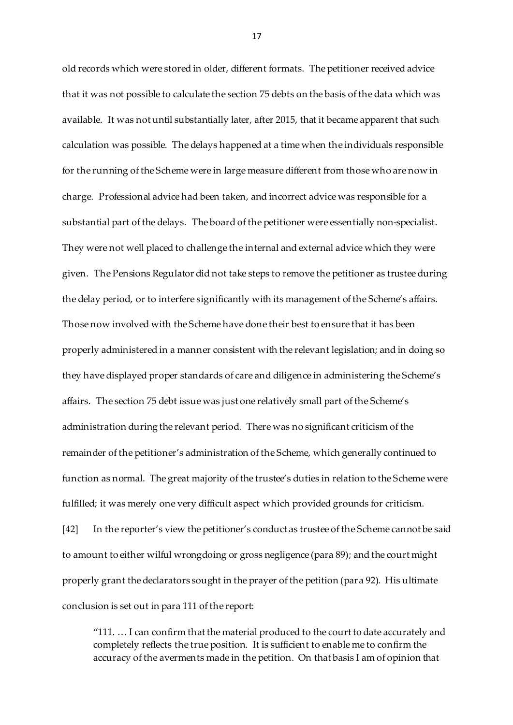old records which were stored in older, different formats. The petitioner received advice that it was not possible to calculate the section 75 debts on the basis of the data which was available. It was not until substantially later, after 2015, that it became apparent that such calculation was possible. The delays happened at a time when the individuals responsible for the running of the Scheme were in large measure different from those who are now in charge. Professional advice had been taken, and incorrect advice was responsible for a substantial part of the delays. The board of the petitioner were essentially non-specialist. They were not well placed to challenge the internal and external advice which they were given. The Pensions Regulator did not take steps to remove the petitioner as trustee during the delay period, or to interfere significantly with its management of the Scheme's affairs. Those now involved with the Scheme have done their best to ensure that it has been properly administered in a manner consistent with the relevant legislation; and in doing so they have displayed proper standards of care and diligence in administering the Scheme's affairs. The section 75 debt issue was just one relatively small part of the Scheme's administration during the relevant period. There was no significant criticism of the remainder of the petitioner's administration of the Scheme, which generally continued to function as normal. The great majority of the trustee's duties in relation to the Scheme were fulfilled; it was merely one very difficult aspect which provided grounds for criticism. [42] In the reporter's view the petitioner's conduct as trustee of the Scheme cannot be said to amount to either wilful wrongdoing or gross negligence (para 89); and the court might properly grant the declarators sought in the prayer of the petition (para 92). His ultimate conclusion is set out in para 111 of the report:

"111. … I can confirm that the material produced to the court to date accurately and completely reflects the true position. It is sufficient to enable me to confirm the accuracy of the averments made in the petition. On that basis I am of opinion that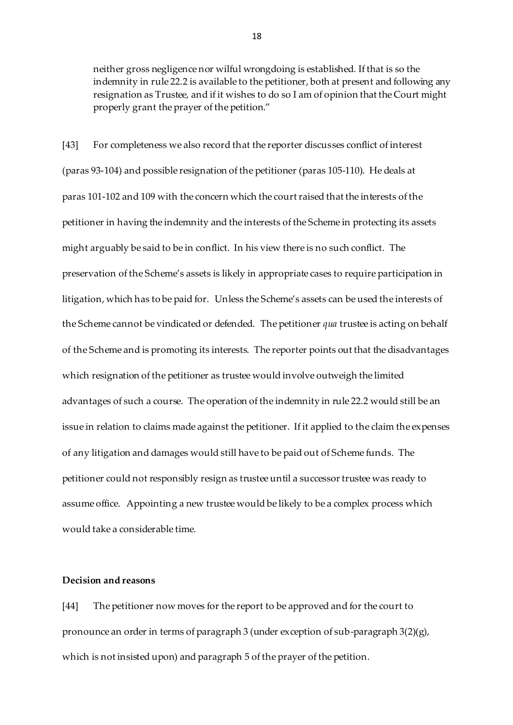neither gross negligence nor wilful wrongdoing is established. If that is so the indemnity in rule 22.2 is available to the petitioner, both at present and following any resignation as Trustee, and if it wishes to do so I am of opinion that the Court might properly grant the prayer of the petition."

[43] For completeness we also record that the reporter discusses conflict of interest (paras 93-104) and possible resignation of the petitioner (paras 105-110). He deals at paras 101-102 and 109 with the concern which the court raised that the interests of the petitioner in having the indemnity and the interests of the Scheme in protecting its assets might arguably be said to be in conflict. In his view there is no such conflict. The preservation of the Scheme's assets is likely in appropriate cases to require participation in litigation, which has to be paid for. Unless the Scheme's assets can be used the interests of the Scheme cannot be vindicated or defended. The petitioner *qua* trustee is acting on behalf of the Scheme and is promoting its interests. The reporter points out that the disadvantages which resignation of the petitioner as trustee would involve outweigh the limited advantages of such a course. The operation of the indemnity in rule 22.2 would still be an issue in relation to claims made against the petitioner. If it applied to the claim the expenses of any litigation and damages would still have to be paid out of Scheme funds. The petitioner could not responsibly resign as trustee until a successor trustee was ready to assume office. Appointing a new trustee would be likely to be a complex process which would take a considerable time.

# **Decision and reasons**

[44] The petitioner now moves for the report to be approved and for the court to pronounce an order in terms of paragraph 3 (under exception of sub-paragraph 3(2)(g), which is not insisted upon) and paragraph 5 of the prayer of the petition.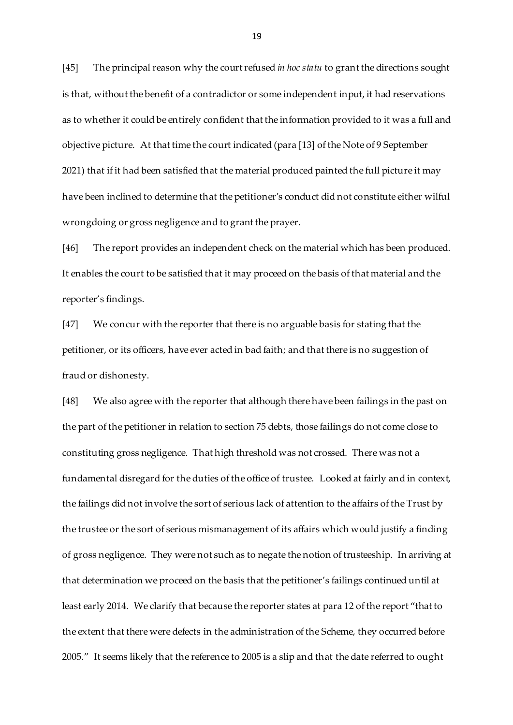[45] The principal reason why the court refused *in hoc statu* to grant the directions sought is that, without the benefit of a contradictor or some independent input, it had reservations as to whether it could be entirely confident that the information provided to it was a full and objective picture. At that time the court indicated (para [13] of the Note of 9 September 2021) that if it had been satisfied that the material produced painted the full picture it may have been inclined to determine that the petitioner's conduct did not constitute either wilful wrongdoing or gross negligence and to grant the prayer.

[46] The report provides an independent check on the material which has been produced. It enables the court to be satisfied that it may proceed on the basis of that material and the reporter's findings.

[47] We concur with the reporter that there is no arguable basis for stating that the petitioner, or its officers, have ever acted in bad faith; and that there is no suggestion of fraud or dishonesty.

[48] We also agree with the reporter that although there have been failings in the past on the part of the petitioner in relation to section 75 debts, those failings do not come close to constituting gross negligence. That high threshold was not crossed. There was not a fundamental disregard for the duties of the office of trustee. Looked at fairly and in context, the failings did not involve the sort of serious lack of attention to the affairs of the Trust by the trustee or the sort of serious mismanagement of its affairs which would justify a finding of gross negligence. They were not such as to negate the notion of trusteeship. In arriving at that determination we proceed on the basis that the petitioner's failings continued until at least early 2014. We clarify that because the reporter states at para 12 of the report "that to the extent that there were defects in the administration of the Scheme, they occurred before 2005." It seems likely that the reference to 2005 is a slip and that the date referred to ought